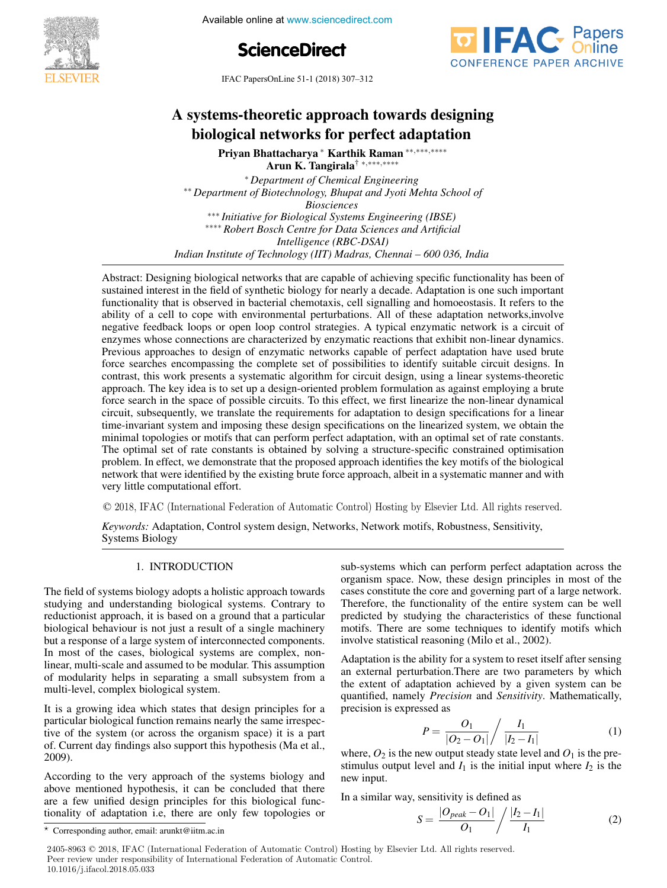

**5th International Available online at www.sciencedirect.com** 





IFAC PapersOnLine 51-1 (2018) 307–312  $\frac{1}{2}$  systems-theoretic approximation  $\frac{1}{2}$  (2010) 507 512

#### systems-theoretic approach towards design Priyan Bhattacharya <sup>∗</sup> Karthik Raman ∗∗,∗∗∗,∗∗∗∗ Arun K. Tangirala† <sup>∗</sup>,∗∗∗,∗∗∗∗ Arun K. Tangirala† <sup>∗</sup>,∗∗∗,∗∗∗∗ Priyan Bhattacharya <sup>∗</sup> Karthik Raman ∗∗,∗∗∗,∗∗∗∗ A systems-theoretic approach towards designing ogical networks for perfect adapta∙ biological networks for perfect adaptation A systems-theoretic approach towards designing biological networks for perfect adaptation

Arun K. Tangirala† <sup>∗</sup>,∗∗∗,∗∗∗∗ Arun K. Tangirala† <sup>∗</sup>,∗∗∗,∗∗∗∗ Priyan Bhattacharya <sup>∗</sup> Karthik Raman ∗∗,∗∗∗,∗∗∗∗ ∗ *Department of Chemical Engineering* ∗∗ *Department of Biotechnology, Bhupat and Jyoti Mehta School of Blosciences*<br>**Engineering (IBSE)** *I Initiative for Biological Systems Engineering (IBSE)* ∗∗∗ *Initiative for Biological Systems Engineering (IBSE)* ∗∗∗∗ *Robert Bosch Centre for Data Sciences and Artificial Intelligence (RBC-DSAI) Indian Institute of Technology (IIT) Madras, Chennai – 600 036, India* ∗ *Department of Chemical Engineering* ∗ *Department of Chemical Engineering* Arun K. Tangirala† <sup>∗</sup>,∗∗∗,∗∗∗∗ ∗∗ *Department of Biotechnology, Bhupat and Jyoti Mehta School of* ∗∗ *Department of Biotechnology, Bhupat and Jyoti Mehta School of* ∗ *Department of Chemical Engineering Biosciences Biosciences* ∗∗ *Department of Biotechnology, Bhupat and Jyoti Mehta School of* ∗ *Department of Chemical Engineering* ∗∗∗∗ *Robert Bosch Centre for Data Sciences and Artificial Intelligence (RBC-DSAI)* ∗∗∗∗ *Robert Bosch Centre for Data Sciences and Artificial* ∗∗∗ *Initiative for Biological Systems Engineering (IBSE) Biosciences* mentgence (KBC-DSAI)<br>Indian Institute of Technology (IIT) Madras, Chennai – 600 036, India *Antelligence (RBC-DSAI) Indian Institute of Technology (IIT) Madras, Chennai – 600 036, India Intelligence (RBC-DSAI)*

Abstract: Designing biological networks that are capable of achieving specific functionality has been of sustained interest in the field of synthetic biology for nearly a decade. Adaptation is one such important sustained interest in the field of synthetic biology for nearly a decade. Adaptation is one such important<br>functionality that is observed in bacterial chemotaxis, cell signalling and homoeostasis. It refers to the ability of a cell to cope with environmental perturbations. All of these adaptation networks, involved<br>negative feedback loops or open loop control strategies. A typical enzymatic network is a circuit of ability of a cell to cope with environmental perturbations. All of these adaptation networks, involve-<br>negative feedback loops or open loop control strategies. A typical enzymatic network is a circuit of enzymes whose connections are characterized by enzymatic reactions that exhibit non-linear dynamics. enzymes whose connections are characterized by enzymatic reactions that exhibit non-linear dynamics.<br>Previous approaches to design of enzymatic networks capable of perfect adaptation have used brute revious approaches to design or enzymant networks capable or perfect adaptation have used brute<br>force searches encompassing the complete set of possibilities to identify suitable circuit designs. In contrast, this work presents a systematic algorithm for circuit design, using a linear systems-theoretic contrast, this work presents a systematic algorithm for circuit design, using a linear systems-theoretic approach. The key idea is to set up a design-oriented problem formulation as against employing a brute approach. The key local is to set up a design-oriented problem formulation as against employing a brace<br>force search in the space of possible circuits. To this effect, we first linearize the non-linear dynamical circuit, subsequently, we translate the requirements for adaptation to design specifications for a linear encuri, subsequently, we translate the requirements for adaptation to design specifications for a finemeter time-<br>time-invariant system and imposing these design specifications on the linearized system, we obtain the mine invariant system and imposing these design specifications on the intearized system, we obtain the minimal topologies or motifs that can perform perfect adaptation, with an optimal set of rate constants. imminal topologies of moths that can perform perfect adaptation, with an optimal set of rate constants.<br>The optimal set of rate constants is obtained by solving a structure-specific constrained optimisation problem. In effect, we demonstrate that the proposed approach identifies the key motifs of the biological network that were identified by the existing brute force approach, albeit in a systematic manner and with very little computational effort. Abstract: Designing biological networks that are capable of achieving specific functionality has been of network that were identified by the existing brute force approach, albeit in a systematic manner and with  $\frac{1}{2}$  abstraction intervention of a particular biology for incall  $\frac{1}{2}$  declare. And platform is been of the specific functionality  $\frac{1}{2}$  and  $\frac{1}{2}$  are capable of  $\frac{1}{2}$  and  $\frac{1}{2}$  are capable of  $\frac$ ability of a cell to cope with environmental perturbations. All of these adaptation networks, involve enzymes whose connections are characterized by enzymatic reactions that exhibit non-linear dynamics.<br>Demisure aggregates to design of angumetic networks, sensible of neglect education have used button force searches the complete set of possibilities to identify suitable complete set of possibilities to identify suitable completion of perfect and perfect adaptation of perfect and perfect adaptation have used brute adapta approach. The key idea is to set up a design-oriented problem formulation as against employing a brute<br>force search in the appea of possible signify To this offert we first linearies the new linear dynamical force search in the space of possible circuits. To this effect, we first linearize the non-linear dynamical<br>circuit antecessarily are translate the previousness for education to design another formalizer in a linear time-invariant system and imposing these design specifications on the linearized system, we obtain the<br>minimal topologies or motifs that son perform perfect edentation, with an entimal ast of note constants. problem. In effect, we definition that the proposed approach definition the key monts of the biological network that were identified by the existing brute force approach, albeit in a systematic manner and with<br>The biological settement of fort functionality that is observed in bacterial chemotaxis, cell signalling and homoeostasis. It refers to the hegative feedback loops of open loop control strategies. A typical enzymatic network is a circuit of Previous approaches to design or enzymatic networks capable of perfect adaptation have used brute force searches encompassing the complete set of possibilities to identify suitable circuit designs. In circuit, subsequently, we translate the requirements for adaptation to design specifications for a linear minimal topologies or motifs that can perform perfect adaptation, with an optimal set of rate constants. The optimal set of rate constants is obtained by solving a structure-specific constrained optimisation problem. In effect, we demonstrate that the proposed approach identifies the key motifs of the biological

© 2018, IFAC (International Federation of Automatic Control) Hosting by Elsevier Ltd. All rights reserved.  $\sigma$  2010, If the (informational Federation of Hatomatic Control) Hooting by Elovice Beet, Hi Hgute Tool © 2018. IFAC (International Federation of Automatic Control) Hosting by Elsevier Ltd. All rights reserved.  $\sim$  2010; if the (intermational  $\sim$ 

*Keywords: Adaptation, Control system design, Networks, Network motifs, Robustness, Sensitivity,* Systems Biology Systems Biology *Keywords:* Adaptation, Control system design, Networks, Network motifs, Robustness, Sensitivity, Systems Biology<br><u>Keywords: Adaptation, Networks, Networks, Networks, Networks, Networks, Networks, Networks, Networks, Networks, N</u>

#### 1. INTRODUCTION 1. INTRODUCTION 1. INTRODUCTION 1. INTRODUCTION

Systems Biology

The field of systems biology adopts a holistic approach towards The field of systems biology adopts a honsite approach towards<br>studying and understanding biological systems. Contrary to reductionist approach, it is based on a ground that a particular biological behaviour is not just a result of a single machinery biological behaviour is not just a result of a single machinery<br>but a response of a large system of interconnected components. but a response of a large system of interconnected comploments.<br>In most of the cases, biological systems are complex, non-In most of the cases, biological systems are complex, hom-<br>linear, multi-scale and assumed to be modular. This assumption<br>of modularity helps in separating a small subsystem from a of modularity helps in separating a small subsystem from a of modularity helps in separating a small subsystem from a linear, multi-scale and assumed to be modular. This assumption multi-level, complex biological system. multi-level, complex biological system. of modularity helps in separating a small subsystem from a multi-level, complex biological system. studying and understanding biological systems. Contrary to requetionist approach, it is based on a ground that a particular biological behaviour is not just a result of a single machinery but a response of a large system of interconnected components. In most of the cases, biological systems are complex, non-In mear, multi-scale and assumed to be modular. I has assumption or modularity helps in separating a small subsystem from a

It is a growing idea which states that design principles for a to is a growing rdea which states that design principles for a<br>particular biological function remains nearly the same irrespective of the system (or across the organism space) it is a part tive of the system (or across the organism space) it is a part tive of the system (or across the organism space) it is a part<br>of. Current day findings also support this hypothesis (Ma et al., 2009). 2009).  $200$ , the very approach of the systems biology and systems biology and systems biology and systems biology and  $\alpha$ It is a growing idea which states that design principles for a method is local system. particular biological function remains nearly the same irrespec-<br>tive of the grotom (or agrees the growing gross) it is a port of. Current day findings also support this hypothesis (Ma et al.,<br>2000) 2009). tive of the system (or across the organism space) it is a part  $2009$ .

According to the very approach of the systems biology and According to the very approach of the systems biology and<br>above mentioned hypothesis, it can be concluded that there above including hypothesis, it can be concluded that there are a few unified design principles for this biological functionality of adaptation i.e, there are only few topologies or are a few unified design principles for this biological func-<br>tionality of adaptation i.e. there are only few topologies or tionality of adaptation i.e, there are only few topologies or above mentioned hypothesis, it can be concluded that there are a rew unified design principles for this biological funcsub-systems which can perform perfect adaptation across the sub-systems which can perform perfect adaptation across the sub-systems which can perform perfect adaptation across the organism space. Now, these design principles in most of the cases constitute the core and governing part of a large network. cases constitute the core and governing part of a large network. organism space. Now, these design principles in most of the Therefore, the functionality of the entire system can be well predicted by studying the characteristics of these functional predicted by studying the characteristics of these functional Therefore, the functionality of the entire system can be well predicted by studying the characteristics of these functional<br>motifs. There are some techniques to identify motifs which involve statistical reasoning (Milo et al., 2002). cases constitute the core and governing part of a large network.<br>Therefore, the functionality of the entire system can be well<br>predicted by studying the characteristics of these functional involve statistical reasoning (Milo et al., 2002). sub-systems which can perform perfect adaptation across the motifs. There are some techniques to identify motifs which involve statistical reasoning (Millo et al.,  $2002$ ). organism space. Now, these design principles in most of the cases constitute the core and governing part of a large network. Therefore, the functionality of the entire system can be well predicted by studying the characteristics of these functional

Adaptation is the ability for a system to reset itself after sensing an external perturbation.There are two parameters by which an external perturbation.There are two parameters by which Adaptation is the ability for a system to reset itself after sensing Adaptation is the ability for a system to reset itself after sensing<br>an external perturbation. There are two parameters by which<br>the extent of adaptation achieved by a given system can be quantified, namely *Precision* and *Sensitivity*. Mathematically, precision is expressed as  $\theta$ <sup>1</sup> *I*<sup>1</sup> quantified, namely *Precision* and *Sensitivity*. Mathematically, precision is expressed as  $\overline{a}$ an external perturbation inere are two parameters by which the extent of adaptation achieved by a given system can be

$$
P = \frac{O_1}{|O_2 - O_1|} / \frac{I_1}{|I_2 - I_1|}
$$
 (1)

where,  $O_2$  is the new output steady state level and  $O_1$  is the prewhere,  $O_2$  is the new output steady state level and  $O_1$  is the prestimulus output level and  $I_1$  is the initial input where  $I_2$  is the new input. new input.  $\sum_{i=1}^{\infty}$  similar way, see sitivity is defined as  $\sum_{i=1}^{\infty}$ stimulus output level and  $I_1$  is the initial input where  $I_2$  is the new input new input.  $\frac{1}{2}$   $\frac{1}{2}$   $\frac{1}{2}$   $\frac{1}{2}$   $\frac{1}{2}$  and  $O_1$  is the prestimulus output level and *I*<sup>2</sup> is the initial input where *I*<sup>2</sup> is the initial in the *I*<sup>2</sup> is the *I*<sup>2</sup> is the *I*<sup>2</sup> is the *I*<sup>2</sup> is the *I*<sup>2</sup> is the *I*<sup>2</sup> is the *I*<sup>2</sup> is the *I*<sup>2</sup> is the *I*<sup>2</sup> is the *I* 

In a similar way, sensitivity is defined as  $|O_{\text{peak}} - O_1| / |I_2 - I_1|$ In a similar way, sensitivity is defined as

$$
S = \frac{|O_{peak} - O_1|}{O_1} / \frac{|I_2 - I_1|}{I_1}
$$
 (2)

 $\overline{\text{X}}$  Corresponding author, email: arunkt@iitm.ac.in  $\star$  Corresponding author, email: arunkt@iitm.ac.in

<sup>2405-8963 © 2018,</sup> IFAC (International Federation of Automatic Control) Hosting by Elsevier Ltd. All rights reserved. **Peer review under responsibility of International Federation of Automatic Control.** 10.1016/j.ifacol.2018.05.033 **Copyright © 2018 IFAC 323Correct Copyright Copyright Copyright Contract Copyright Contract Copyright Copyright Copyright Copyright Copyright Copyright Copyright Copyright Copyright Copyright Copyright Copyright Copyright Copyright Copyright Copyr**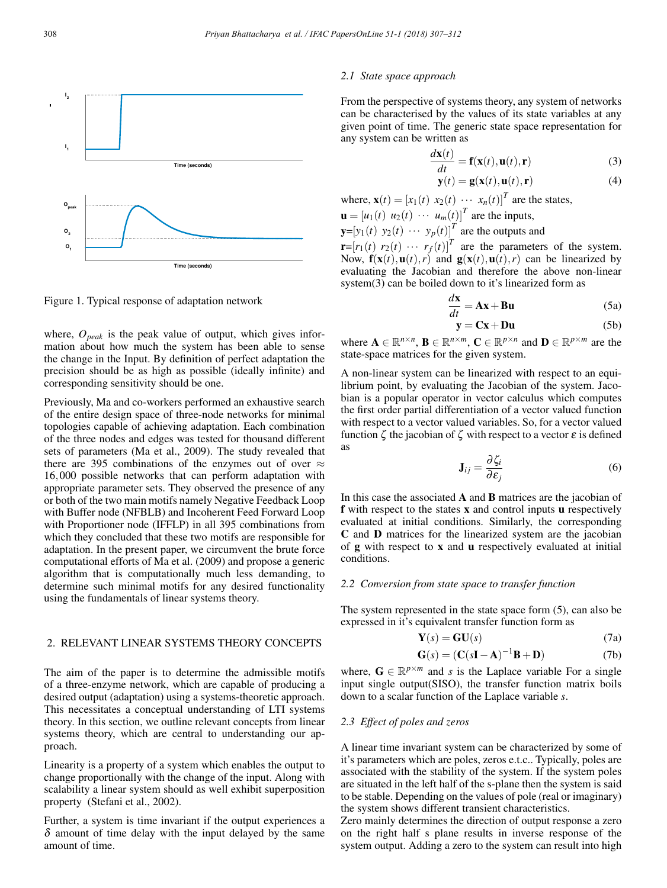

Figure 1. Typical response of adaptation network

where,  $O_{peak}$  is the peak value of output, which gives information about how much the system has been able to sense the change in the Input. By definition of perfect adaptation the precision should be as high as possible (ideally infinite) and corresponding sensitivity should be one.

Previously, Ma and co-workers performed an exhaustive search of the entire design space of three-node networks for minimal topologies capable of achieving adaptation. Each combination of the three nodes and edges was tested for thousand different sets of parameters (Ma et al., 2009). The study revealed that there are 395 combinations of the enzymes out of over  $\approx$ 16,000 possible networks that can perform adaptation with appropriate parameter sets. They observed the presence of any or both of the two main motifs namely Negative Feedback Loop with Buffer node (NFBLB) and Incoherent Feed Forward Loop with Proportioner node (IFFLP) in all 395 combinations from which they concluded that these two motifs are responsible for adaptation. In the present paper, we circumvent the brute force computational efforts of Ma et al. (2009) and propose a generic algorithm that is computationally much less demanding, to determine such minimal motifs for any desired functionality using the fundamentals of linear systems theory.

# 2. RELEVANT LINEAR SYSTEMS THEORY CONCEPTS

The aim of the paper is to determine the admissible motifs of a three-enzyme network, which are capable of producing a desired output (adaptation) using a systems-theoretic approach. This necessitates a conceptual understanding of LTI systems theory. In this section, we outline relevant concepts from linear systems theory, which are central to understanding our approach.

Linearity is a property of a system which enables the output to change proportionally with the change of the input. Along with scalability a linear system should as well exhibit superposition property (Stefani et al., 2002).

Further, a system is time invariant if the output experiences a  $\delta$  amount of time delay with the input delayed by the same amount of time.

## *2.1 State space approach*

From the perspective of systems theory, any system of networks can be characterised by the values of its state variables at any given point of time. The generic state space representation for any system can be written as

$$
\frac{d\mathbf{x}(t)}{dt} = \mathbf{f}(\mathbf{x}(t), \mathbf{u}(t), \mathbf{r})
$$
\n(3)

$$
\mathbf{y}(t) = \mathbf{g}(\mathbf{x}(t), \mathbf{u}(t), \mathbf{r})
$$
 (4)

where,  $\mathbf{x}(t)=[x_1(t) \ x_2(t) \ \cdots \ x_n(t)]^T$  are the states,  $\mathbf{u} = [u_1(t) \ u_2(t) \ \cdots \ u_m(t)]^T$  are the inputs,  $\mathbf{y} = [y_1(t) \ y_2(t) \ \cdots \ y_p(t)]^T$  are the outputs and

 $\mathbf{r} = [r_1(t) \ r_2(t) \ \cdots \ r_f(t)]^T$  are the parameters of the system. Now,  $\mathbf{f}(\mathbf{x}(t),\mathbf{u}(t),r)$  and  $\mathbf{g}(\mathbf{x}(t),\mathbf{u}(t),r)$  can be linearized by evaluating the Jacobian and therefore the above non-linear system(3) can be boiled down to it's linearized form as

$$
\frac{d\mathbf{x}}{dt} = \mathbf{A}\mathbf{x} + \mathbf{B}\mathbf{u}
$$
 (5a)

$$
y = Cx + Du \tag{5b}
$$

where  $\mathbf{A} \in \mathbb{R}^{n \times n}$ ,  $\mathbf{B} \in \mathbb{R}^{n \times m}$ ,  $\mathbf{C} \in \mathbb{R}^{p \times n}$  and  $\mathbf{D} \in \mathbb{R}^{p \times m}$  are the state-space matrices for the given system.

A non-linear system can be linearized with respect to an equilibrium point, by evaluating the Jacobian of the system. Jacobian is a popular operator in vector calculus which computes the first order partial differentiation of a vector valued function with respect to a vector valued variables. So, for a vector valued function  $\zeta$  the jacobian of  $\zeta$  with respect to a vector  $\varepsilon$  is defined as

$$
\mathbf{J}_{ij} = \frac{\partial \zeta_i}{\partial \varepsilon_j} \tag{6}
$$

In this case the associated A and B matrices are the jacobian of f with respect to the states x and control inputs u respectively evaluated at initial conditions. Similarly, the corresponding C and D matrices for the linearized system are the jacobian of g with respect to x and u respectively evaluated at initial conditions.

### *2.2 Conversion from state space to transfer function*

The system represented in the state space form (5), can also be expressed in it's equivalent transfer function form as

$$
\mathbf{Y}(s) = \mathbf{GU}(s) \tag{7a}
$$

$$
\mathbf{G}(s) = (\mathbf{C}(s\mathbf{I} - \mathbf{A})^{-1}\mathbf{B} + \mathbf{D})
$$
 (7b)

where,  $\mathbf{G} \in \mathbb{R}^{p \times m}$  and *s* is the Laplace variable For a single input single output(SISO), the transfer function matrix boils down to a scalar function of the Laplace variable *s*.

#### *2.3 Effect of poles and zeros*

A linear time invariant system can be characterized by some of it's parameters which are poles, zeros e.t.c.. Typically, poles are associated with the stability of the system. If the system poles are situated in the left half of the s-plane then the system is said to be stable. Depending on the values of pole (real or imaginary) the system shows different transient characteristics.

Zero mainly determines the direction of output response a zero on the right half s plane results in inverse response of the system output. Adding a zero to the system can result into high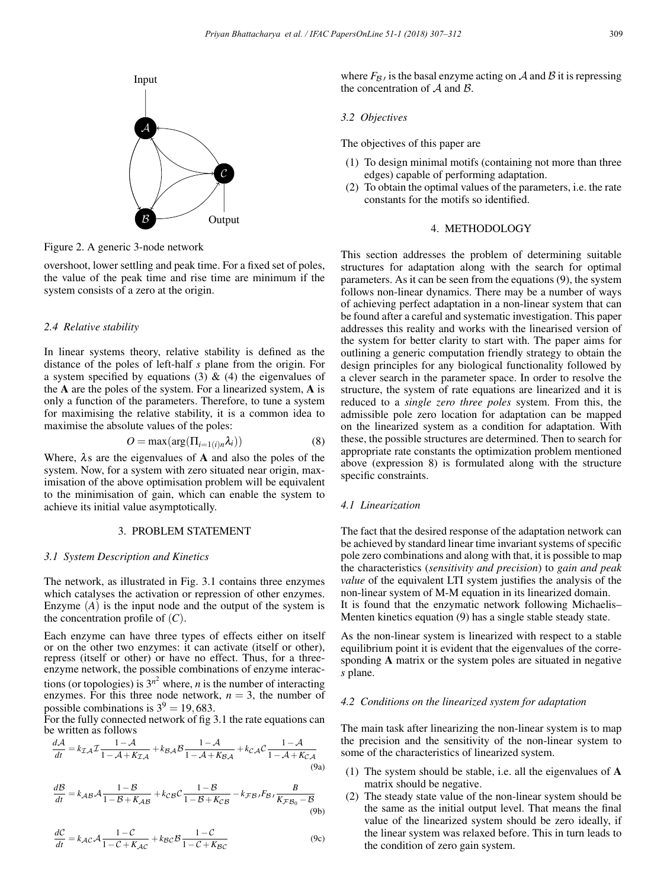

Figure 2. A generic 3-node network

overshoot, lower settling and peak time. For a fixed set of poles, the value of the peak time and rise time are minimum if the system consists of a zero at the origin.

## *2.4 Relative stability*

In linear systems theory, relative stability is defined as the distance of the poles of left-half *s* plane from the origin. For a system specified by equations (3)  $\&$  (4) the eigenvalues of the A are the poles of the system. For a linearized system, A is only a function of the parameters. Therefore, to tune a system for maximising the relative stability, it is a common idea to maximise the absolute values of the poles:

$$
O = \max(\arg(\Pi_{i=1(i)n}\lambda_i))
$$
\n(8)

Where,  $\lambda$ s are the eigenvalues of A and also the poles of the system. Now, for a system with zero situated near origin, maximisation of the above optimisation problem will be equivalent to the minimisation of gain, which can enable the system to achieve its initial value asymptotically.

## 3. PROBLEM STATEMENT

#### *3.1 System Description and Kinetics*

The network, as illustrated in Fig. 3.1 contains three enzymes which catalyses the activation or repression of other enzymes. Enzyme (*A*) is the input node and the output of the system is the concentration profile of  $(C)$ .

Each enzyme can have three types of effects either on itself or on the other two enzymes: it can activate (itself or other), repress (itself or other) or have no effect. Thus, for a threeenzyme network, the possible combinations of enzyme interactions (or topologies) is  $3^{n^2}$  where, *n* is the number of interacting enzymes. For this three node network,  $n = 3$ , the number of possible combinations is  $3^9 = 19,683$ .

For the fully connected network of fig 3.1 the rate equations can be written as follows

$$
\frac{d\mathcal{A}}{dt} = k_{\mathcal{I}\mathcal{A}} \mathcal{I} \frac{1 - \mathcal{A}}{1 - \mathcal{A} + K_{\mathcal{I}\mathcal{A}}} + k_{\mathcal{B}\mathcal{A}} \mathcal{B} \frac{1 - \mathcal{A}}{1 - \mathcal{A} + K_{\mathcal{B}\mathcal{A}}} + k_{\mathcal{C}\mathcal{A}} \mathcal{C} \frac{1 - \mathcal{A}}{1 - \mathcal{A} + K_{\mathcal{C}\mathcal{A}}} \tag{9a}
$$

$$
\frac{dB}{dt} = k_{AB}A \frac{1-B}{1-B+K_{AB}} + k_{CB}C \frac{1-B}{1-B+K_{CB}} - k_{FB}F_{B}F_{B} \frac{B}{K_{FB_0}-B}
$$
\n(9b)

$$
\frac{dC}{dt} = k_{AC}A \frac{1 - C}{1 - C + K_{AC}} + k_{BC}B \frac{1 - C}{1 - C + K_{BC}}
$$
(9c)

where  $F_{\beta}$  is the basal enzyme acting on A and B it is repressing the concentration of  $A$  and  $B$ .

### *3.2 Objectives*

The objectives of this paper are

- (1) To design minimal motifs (containing not more than three edges) capable of performing adaptation.
- (2) To obtain the optimal values of the parameters, i.e. the rate constants for the motifs so identified.

## 4. METHODOLOGY

This section addresses the problem of determining suitable structures for adaptation along with the search for optimal parameters. As it can be seen from the equations (9), the system follows non-linear dynamics. There may be a number of ways of achieving perfect adaptation in a non-linear system that can be found after a careful and systematic investigation. This paper addresses this reality and works with the linearised version of the system for better clarity to start with. The paper aims for outlining a generic computation friendly strategy to obtain the design principles for any biological functionality followed by a clever search in the parameter space. In order to resolve the structure, the system of rate equations are linearized and it is reduced to a *single zero three poles* system. From this, the admissible pole zero location for adaptation can be mapped on the linearized system as a condition for adaptation. With these, the possible structures are determined. Then to search for appropriate rate constants the optimization problem mentioned above (expression 8) is formulated along with the structure specific constraints.

### *4.1 Linearization*

The fact that the desired response of the adaptation network can be achieved by standard linear time invariant systems of specific pole zero combinations and along with that, it is possible to map the characteristics (*sensitivity and precision*) to *gain and peak value* of the equivalent LTI system justifies the analysis of the non-linear system of M-M equation in its linearized domain. It is found that the enzymatic network following Michaelis– Menten kinetics equation (9) has a single stable steady state.

As the non-linear system is linearized with respect to a stable equilibrium point it is evident that the eigenvalues of the corresponding A matrix or the system poles are situated in negative *s* plane.

#### *4.2 Conditions on the linearized system for adaptation*

The main task after linearizing the non-linear system is to map the precision and the sensitivity of the non-linear system to some of the characteristics of linearized system.

- (1) The system should be stable, i.e. all the eigenvalues of A matrix should be negative.
- (2) The steady state value of the non-linear system should be the same as the initial output level. That means the final value of the linearized system should be zero ideally, if the linear system was relaxed before. This in turn leads to the condition of zero gain system.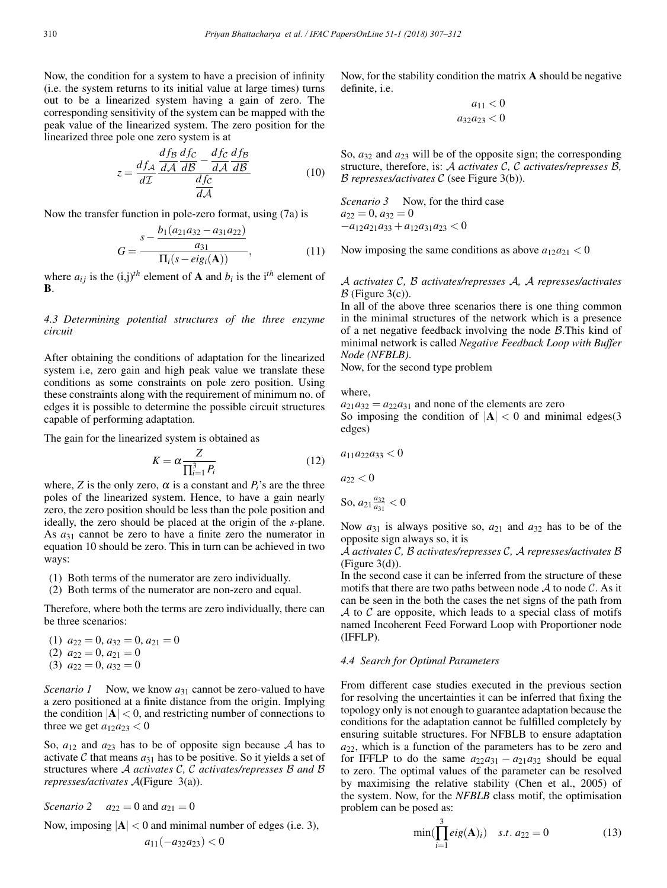Now, the condition for a system to have a precision of infinity (i.e. the system returns to its initial value at large times) turns out to be a linearized system having a gain of zero. The corresponding sensitivity of the system can be mapped with the peak value of the linearized system. The zero position for the linearized three pole one zero system is at

$$
z = \frac{df_A}{d\mathcal{I}} \frac{\frac{df_B}{dA} \frac{df_C}{dB} - \frac{df_C}{dA} \frac{df_B}{dB}}{\frac{df_C}{dA}}
$$
(10)

Now the transfer function in pole-zero format, using (7a) is

$$
G = \frac{s - \frac{b_1(a_{21}a_{32} - a_{31}a_{22})}{a_{31}}}{\Pi_i(s - eig_i(\mathbf{A}))},
$$
(11)

where  $a_{ij}$  is the  $(i,j)^{th}$  element of **A** and  $b_i$  is the i<sup>th</sup> element of B.

*4.3 Determining potential structures of the three enzyme circuit*

After obtaining the conditions of adaptation for the linearized system i.e, zero gain and high peak value we translate these conditions as some constraints on pole zero position. Using these constraints along with the requirement of minimum no. of edges it is possible to determine the possible circuit structures capable of performing adaptation.

The gain for the linearized system is obtained as

$$
K = \alpha \frac{Z}{\prod_{i=1}^{3} P_i}
$$
 (12)

where, *Z* is the only zero,  $\alpha$  is a constant and  $P_i$ 's are the three poles of the linearized system. Hence, to have a gain nearly zero, the zero position should be less than the pole position and ideally, the zero should be placed at the origin of the *s*-plane. As  $a_{31}$  cannot be zero to have a finite zero the numerator in equation 10 should be zero. This in turn can be achieved in two ways:

- (1) Both terms of the numerator are zero individually.
- (2) Both terms of the numerator are non-zero and equal.

Therefore, where both the terms are zero individually, there can be three scenarios:

 $(1)$   $a_{22} = 0, a_{32} = 0, a_{21} = 0$  $(2) a_{22} = 0, a_{21} = 0$  $(3)$   $a_{22} = 0$ ,  $a_{32} = 0$ 

*Scenario 1* Now, we know  $a_{31}$  cannot be zero-valued to have a zero positioned at a finite distance from the origin. Implying the condition  $|\mathbf{A}| < 0$ , and restricting number of connections to three we get  $a_{12}a_{23} < 0$ 

So,  $a_{12}$  and  $a_{23}$  has to be of opposite sign because A has to activate C that means  $a_{31}$  has to be positive. So it yields a set of structures where A *activates* C*,* C *activates/represses* B *and* B *represses/activates* A(Figure 3(a)).

*Scenario* 2  $a_{22} = 0$  and  $a_{21} = 0$ 

Now, imposing  $|A| < 0$  and minimal number of edges (i.e. 3),

$$
a_{11}(-a_{32}a_{23})<0
$$

Now, for the stability condition the matrix  $\bf{A}$  should be negative definite, i.e.

$$
a_{11} < 0
$$
\n
$$
a_{32}a_{23} < 0
$$

So, *a*<sup>32</sup> and *a*<sup>23</sup> will be of the opposite sign; the corresponding structure, therefore, is: A *activates* C*,* C *activates/represses* B*,* B *represses/activates* C (see Figure 3(b)).

*Scenario 3* Now, for the third case  

$$
a_{22} = 0
$$
,  $a_{32} = 0$   
 $-a_{12}a_{21}a_{33} + a_{12}a_{31}a_{23} < 0$ 

Now imposing the same conditions as above  $a_{12}a_{21} < 0$ 

A *activates* C*,* B *activates/represses* A*,* A *represses/activates*  $\beta$  (Figure 3(c)).

In all of the above three scenarios there is one thing common in the minimal structures of the network which is a presence of a net negative feedback involving the node B.This kind of minimal network is called *Negative Feedback Loop with Buffer Node (NFBLB)*.

Now, for the second type problem

where,

 $a_{21}a_{32} = a_{22}a_{31}$  and none of the elements are zero

So imposing the condition of  $|A| < 0$  and minimal edges(3) edges)

$$
a_{11}a_{22}a_{33} < 0
$$

$$
a_{22}<0
$$

So, 
$$
a_{21} \frac{a_{32}}{a_{31}} < 0
$$

Now *a*<sup>31</sup> is always positive so, *a*<sup>21</sup> and *a*<sup>32</sup> has to be of the opposite sign always so, it is

A *activates* C*,* B *activates/represses* C*,* A *represses/activates* B (Figure 3(d)).

In the second case it can be inferred from the structure of these motifs that there are two paths between node  $\mathcal A$  to node  $\mathcal C$ . As it can be seen in the both the cases the net signs of the path from  $\mathcal A$  to  $\mathcal C$  are opposite, which leads to a special class of motifs named Incoherent Feed Forward Loop with Proportioner node (IFFLP).

#### *4.4 Search for Optimal Parameters*

From different case studies executed in the previous section for resolving the uncertainties it can be inferred that fixing the topology only is not enough to guarantee adaptation because the conditions for the adaptation cannot be fulfilled completely by ensuring suitable structures. For NFBLB to ensure adaptation *a*22, which is a function of the parameters has to be zero and for IFFLP to do the same  $a_{22}a_{31} - a_{21}a_{32}$  should be equal to zero. The optimal values of the parameter can be resolved by maximising the relative stability (Chen et al., 2005) of the system. Now, for the *NFBLB* class motif, the optimisation problem can be posed as:

$$
\min(\prod_{i=1}^{3} eig(\mathbf{A})_{i}) \quad s.t. a_{22} = 0 \tag{13}
$$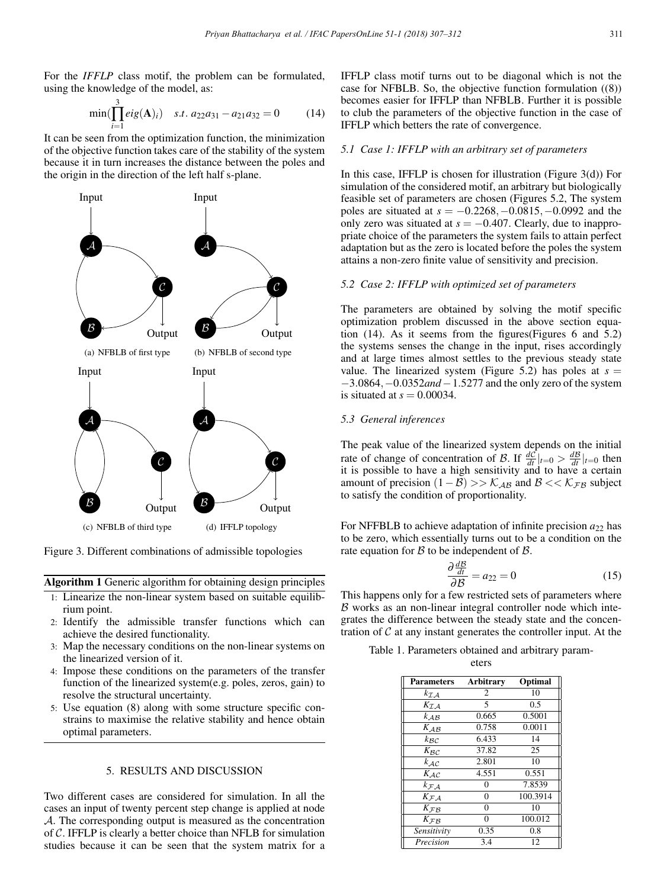For the *IFFLP* class motif, the problem can be formulated, using the knowledge of the model, as:

$$
\min(\prod_{i=1}^{3} eig(\mathbf{A})_{i}) \quad s.t. \ a_{22}a_{31} - a_{21}a_{32} = 0 \tag{14}
$$

It can be seen from the optimization function, the minimization of the objective function takes care of the stability of the system because it in turn increases the distance between the poles and the origin in the direction of the left half s-plane.



Figure 3. Different combinations of admissible topologies

Algorithm 1 Generic algorithm for obtaining design principles

- 1: Linearize the non-linear system based on suitable equilibrium point.
- 2: Identify the admissible transfer functions which can achieve the desired functionality.
- 3: Map the necessary conditions on the non-linear systems on the linearized version of it.
- 4: Impose these conditions on the parameters of the transfer function of the linearized system(e.g. poles, zeros, gain) to resolve the structural uncertainty.
- 5: Use equation (8) along with some structure specific constrains to maximise the relative stability and hence obtain optimal parameters.

## 5. RESULTS AND DISCUSSION

Two different cases are considered for simulation. In all the cases an input of twenty percent step change is applied at node A. The corresponding output is measured as the concentration of C. IFFLP is clearly a better choice than NFLB for simulation studies because it can be seen that the system matrix for a IFFLP class motif turns out to be diagonal which is not the case for NFBLB. So, the objective function formulation ((8)) becomes easier for IFFLP than NFBLB. Further it is possible to club the parameters of the objective function in the case of IFFLP which betters the rate of convergence.

## *5.1 Case 1: IFFLP with an arbitrary set of parameters*

In this case, IFFLP is chosen for illustration (Figure  $3(d)$ ) For simulation of the considered motif, an arbitrary but biologically feasible set of parameters are chosen (Figures 5.2, The system poles are situated at *s* = −0.2268,−0.0815,−0.0992 and the only zero was situated at  $s = -0.407$ . Clearly, due to inappropriate choice of the parameters the system fails to attain perfect adaptation but as the zero is located before the poles the system attains a non-zero finite value of sensitivity and precision.

## *5.2 Case 2: IFFLP with optimized set of parameters*

The parameters are obtained by solving the motif specific optimization problem discussed in the above section equation (14). As it seems from the figures(Figures 6 and 5.2) the systems senses the change in the input, rises accordingly and at large times almost settles to the previous steady state value. The linearized system (Figure 5.2) has poles at  $s =$ −3.0864,−0.0352*and*−1.5277 and the only zero of the system is situated at  $s = 0.00034$ .

#### *5.3 General inferences*

The peak value of the linearized system depends on the initial rate of change of concentration of B. If  $\frac{dC}{dt}|_{t=0} > \frac{dB}{dt}|_{t=0}$  then it is possible to have a high sensitivity and to have a certain amount of precision  $(1 – B) >> K<sub>AB</sub>$  and  $B << K<sub>FB</sub>$  subject to satisfy the condition of proportionality.

For NFFBLB to achieve adaptation of infinite precision  $a_{22}$  has to be zero, which essentially turns out to be a condition on the rate equation for  $\beta$  to be independent of  $\beta$ .

$$
\frac{\partial \frac{d\mathcal{B}}{dt}}{\partial \mathcal{B}} = a_{22} = 0 \tag{15}
$$

 $\frac{a_1}{\partial \mathcal{B}} = a_{22} = 0$  (15)<br>This happens only for a few restricted sets of parameters where  $\beta$  works as an non-linear integral controller node which integrates the difference between the steady state and the concentration of  $C$  at any instant generates the controller input. At the

| Table 1. Parameters obtained and arbitrary param- |       |  |  |
|---------------------------------------------------|-------|--|--|
|                                                   | eters |  |  |

Parameters Arbitrary Optimal  $k_{\mathcal{I}A}$  2 10

| 5<br>0.5<br>$K_{\mathcal{I}\mathcal{A}}$<br>0.5001<br>$\overline{k}_{AB}$<br>0.665<br>0.0011<br>0.758<br>$K_{AB}$<br>6.433<br>$k_{\mathcal{B}\mathcal{C}}$<br>14<br>37.82<br>25<br>$K_{\mathcal{B}\mathcal{C}}$<br>$\overline{k}_{\mathcal{AC}}$<br>2.801<br>10<br>0.551<br>4.551<br>$K_{\mathcal{AC}}$<br>$\overline{k}_{\mathcal{F} \mathcal{A}}$<br>7.8539<br>0<br>$\overline{K}_{\mathcal{F}\mathcal{A}}$<br>100.3914<br>$\overline{0}$<br>$\theta$<br>10<br>$K_{\mathcal{F}}$ $\beta$<br>100.012<br>$\theta$<br>$K_{\mathcal{F}\mathcal{B}}$<br>Sensitivity<br>0.35<br>0.8 | ^LA       | ∠   | 1 V |
|---------------------------------------------------------------------------------------------------------------------------------------------------------------------------------------------------------------------------------------------------------------------------------------------------------------------------------------------------------------------------------------------------------------------------------------------------------------------------------------------------------------------------------------------------------------------------------|-----------|-----|-----|
|                                                                                                                                                                                                                                                                                                                                                                                                                                                                                                                                                                                 |           |     |     |
|                                                                                                                                                                                                                                                                                                                                                                                                                                                                                                                                                                                 |           |     |     |
|                                                                                                                                                                                                                                                                                                                                                                                                                                                                                                                                                                                 |           |     |     |
|                                                                                                                                                                                                                                                                                                                                                                                                                                                                                                                                                                                 |           |     |     |
|                                                                                                                                                                                                                                                                                                                                                                                                                                                                                                                                                                                 |           |     |     |
|                                                                                                                                                                                                                                                                                                                                                                                                                                                                                                                                                                                 |           |     |     |
|                                                                                                                                                                                                                                                                                                                                                                                                                                                                                                                                                                                 |           |     |     |
|                                                                                                                                                                                                                                                                                                                                                                                                                                                                                                                                                                                 |           |     |     |
|                                                                                                                                                                                                                                                                                                                                                                                                                                                                                                                                                                                 |           |     |     |
|                                                                                                                                                                                                                                                                                                                                                                                                                                                                                                                                                                                 |           |     |     |
|                                                                                                                                                                                                                                                                                                                                                                                                                                                                                                                                                                                 |           |     |     |
|                                                                                                                                                                                                                                                                                                                                                                                                                                                                                                                                                                                 |           |     |     |
|                                                                                                                                                                                                                                                                                                                                                                                                                                                                                                                                                                                 | Precision | 3.4 | 12  |